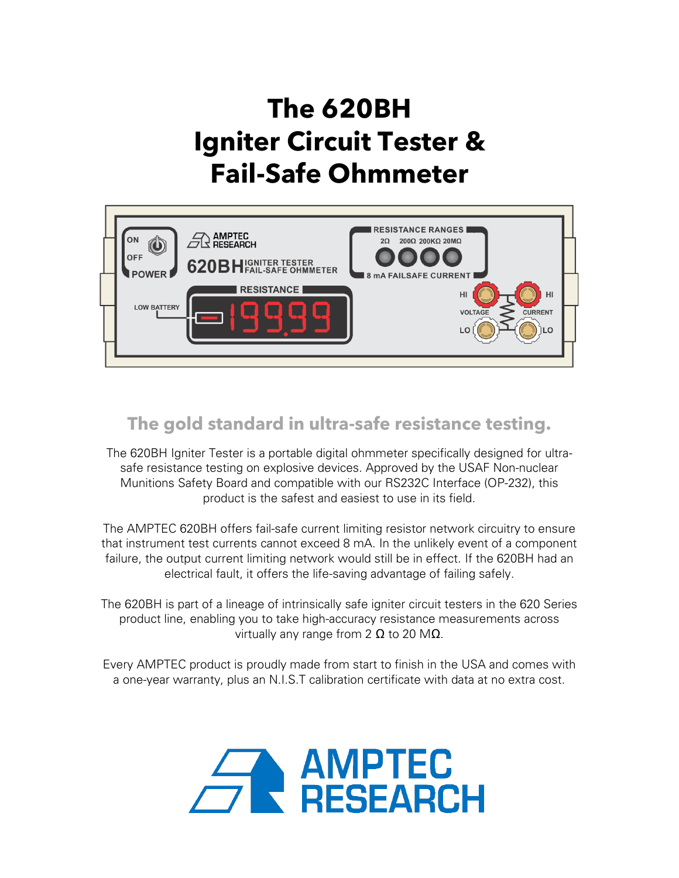# **The 620BH Igniter Circuit Tester & Fail-Safe Ohmmeter**



# **The gold standard in ultra-safe resistance testing.**

The 620BH Igniter Tester is a portable digital ohmmeter specifically designed for ultrasafe resistance testing on explosive devices. Approved by the USAF Non-nuclear Munitions Safety Board and compatible with our RS232C Interface (OP-232), this product is the safest and easiest to use in its field.

The AMPTEC 620BH offers fail-safe current limiting resistor network circuitry to ensure that instrument test currents cannot exceed 8 mA. In the unlikely event of a component failure, the output current limiting network would still be in effect. If the 620BH had an electrical fault, it offers the life-saving advantage of failing safely.

The 620BH is part of a lineage of intrinsically safe igniter circuit testers in the 620 Series product line, enabling you to take high-accuracy resistance measurements across virtually any range from 2  $\Omega$  to 20 M $\Omega$ .

Every AMPTEC product is proudly made from start to finish in the USA and comes with a one-year warranty, plus an N.I.S.T calibration certificate with data at no extra cost.

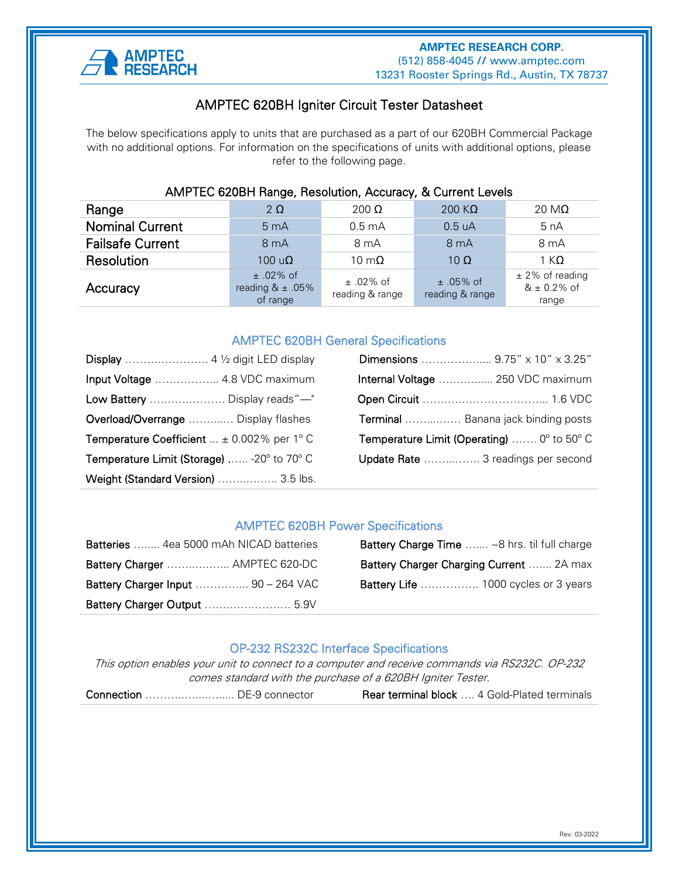

#### Ī AMPTEC 620BH Igniter Circuit Tester Datasheet

The below specifications apply to units that are purchased as a part of our 620BH Commercial Package with no additional options. For information on the specifications of units with additional options, please refer to the following page.

| AIVIPTEC 620BH Range, Resolution, Accuracy, & Current Levels |                                                 |                                  |                                  |                                              |
|--------------------------------------------------------------|-------------------------------------------------|----------------------------------|----------------------------------|----------------------------------------------|
| Range                                                        | $2\Omega$                                       | 200 $\Omega$                     | 200 $K\Omega$                    | 20 M $\Omega$                                |
| <b>Nominal Current</b>                                       | 5 <sub>mA</sub>                                 | $0.5 \text{ mA}$                 | 0.5 uA                           | 5 nA                                         |
| <b>Failsafe Current</b>                                      | 8 mA                                            | 8 mA                             | 8 <sub>m</sub> A                 | 8 mA                                         |
| Resolution                                                   | 100 $\mathsf{u}\Omega$                          | 10 m $\Omega$                    | 10 $\Omega$                      | 1 K $\Omega$                                 |
| Accuracy                                                     | $±$ 02% of<br>reading $& \pm .05\%$<br>of range | $\pm$ .02% of<br>reading & range | $\pm$ .05% of<br>reading & range | $±$ 2% of reading<br>$& 4.0.2\%$ of<br>range |

### AMPTEC 620BH Range, Resolution, Accuracy, & Current Levels

#### AMPTEC 620BH General Specifications

|                                                      | Dimensions  9.75" x 10" x 3.25"                                     |
|------------------------------------------------------|---------------------------------------------------------------------|
| Input Voltage  4.8 VDC maximum                       | Internal Voltage  250 VDC maximum                                   |
| Low Battery  Display reads"-"                        |                                                                     |
| Overload/Overrange  Display flashes                  | <b>Terminal</b> Banana jack binding posts                           |
| <b>Temperature Coefficient</b> $\pm$ 0.002% per 1° C | <b>Temperature Limit (Operating)</b> $0^{\circ}$ to 50 $^{\circ}$ C |
| Temperature Limit (Storage)  -20° to 70° C           | Update Rate  3 readings per second                                  |
| Weight (Standard Version)  3.5 lbs.                  |                                                                     |

#### AMPTEC 620BH Power Specifications

| Batteries  4ea 5000 mAh NICAD batteries | <b>Battery Charge Time</b> ~8 hrs. til full charge |
|-----------------------------------------|----------------------------------------------------|
| Battery Charger  AMPTEC 620-DC          | Battery Charger Charging Current  2A max           |
| Battery Charger Input  90 - 264 VAC     | <b>Battery Life</b> 1000 cycles or 3 years         |
| Battery Charger Output  5.9V            |                                                    |

| Batteries  4ea 5000 mAh NICAD batteries    | <b>Battery Charge Time</b> ~8 hrs. til full charge |
|--------------------------------------------|----------------------------------------------------|
| Battery Charger  AMPTEC 620-DC             | Battery Charger Charging Current  2A max           |
| <b>Battery Charger Input  90 - 264 VAC</b> | <b>Battery Life</b> 1000 cycles or 3 years         |

#### OP-232 RS232C Interface Specifications

This option enables your unit to connect to a computer and receive commands via RS232C. OP-232 comes standard with the purchase of a 620BH Igniter Tester.